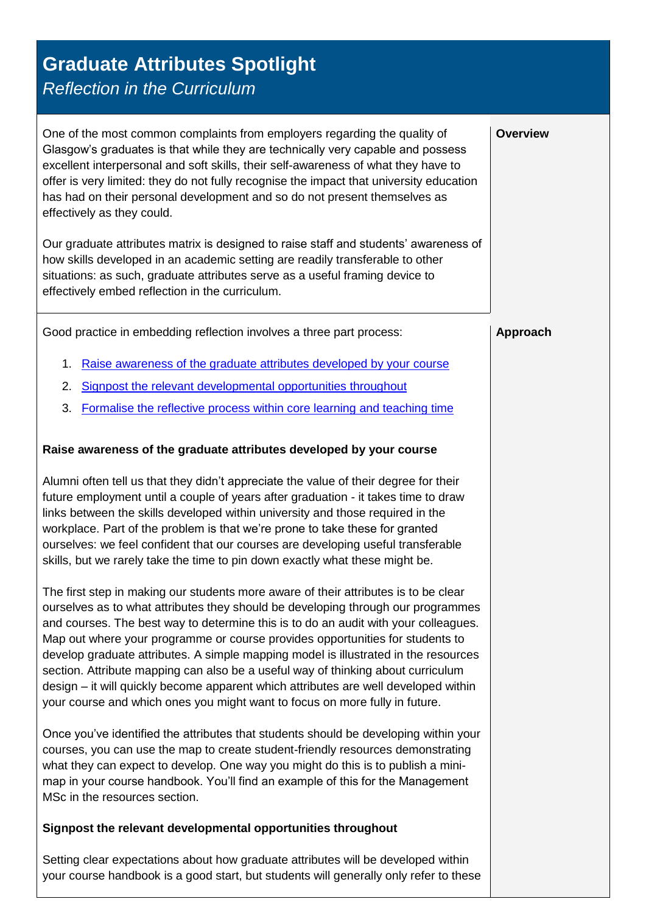## **Graduate Attributes Spotlight**

*Reflection in the Curriculum*

<span id="page-0-1"></span><span id="page-0-0"></span>

| One of the most common complaints from employers regarding the quality of<br>Glasgow's graduates is that while they are technically very capable and possess<br>excellent interpersonal and soft skills, their self-awareness of what they have to<br>offer is very limited: they do not fully recognise the impact that university education<br>has had on their personal development and so do not present themselves as<br>effectively as they could.                                                                                                                                                                                                                                                                                                                                                                                                                                                                                                                                                                                                                                                                                                                                                             | <b>Overview</b> |
|----------------------------------------------------------------------------------------------------------------------------------------------------------------------------------------------------------------------------------------------------------------------------------------------------------------------------------------------------------------------------------------------------------------------------------------------------------------------------------------------------------------------------------------------------------------------------------------------------------------------------------------------------------------------------------------------------------------------------------------------------------------------------------------------------------------------------------------------------------------------------------------------------------------------------------------------------------------------------------------------------------------------------------------------------------------------------------------------------------------------------------------------------------------------------------------------------------------------|-----------------|
| Our graduate attributes matrix is designed to raise staff and students' awareness of<br>how skills developed in an academic setting are readily transferable to other<br>situations: as such, graduate attributes serve as a useful framing device to<br>effectively embed reflection in the curriculum.                                                                                                                                                                                                                                                                                                                                                                                                                                                                                                                                                                                                                                                                                                                                                                                                                                                                                                             |                 |
| Good practice in embedding reflection involves a three part process:                                                                                                                                                                                                                                                                                                                                                                                                                                                                                                                                                                                                                                                                                                                                                                                                                                                                                                                                                                                                                                                                                                                                                 | Approach        |
| Raise awareness of the graduate attributes developed by your course<br>1.                                                                                                                                                                                                                                                                                                                                                                                                                                                                                                                                                                                                                                                                                                                                                                                                                                                                                                                                                                                                                                                                                                                                            |                 |
| Signpost the relevant developmental opportunities throughout<br>2.                                                                                                                                                                                                                                                                                                                                                                                                                                                                                                                                                                                                                                                                                                                                                                                                                                                                                                                                                                                                                                                                                                                                                   |                 |
| Formalise the reflective process within core learning and teaching time<br>3.                                                                                                                                                                                                                                                                                                                                                                                                                                                                                                                                                                                                                                                                                                                                                                                                                                                                                                                                                                                                                                                                                                                                        |                 |
| Raise awareness of the graduate attributes developed by your course                                                                                                                                                                                                                                                                                                                                                                                                                                                                                                                                                                                                                                                                                                                                                                                                                                                                                                                                                                                                                                                                                                                                                  |                 |
| Alumni often tell us that they didn't appreciate the value of their degree for their<br>future employment until a couple of years after graduation - it takes time to draw<br>links between the skills developed within university and those required in the<br>workplace. Part of the problem is that we're prone to take these for granted<br>ourselves: we feel confident that our courses are developing useful transferable<br>skills, but we rarely take the time to pin down exactly what these might be.<br>The first step in making our students more aware of their attributes is to be clear<br>ourselves as to what attributes they should be developing through our programmes<br>and courses. The best way to determine this is to do an audit with your colleagues.<br>Map out where your programme or course provides opportunities for students to<br>develop graduate attributes. A simple mapping model is illustrated in the resources<br>section. Attribute mapping can also be a useful way of thinking about curriculum<br>design - it will quickly become apparent which attributes are well developed within<br>your course and which ones you might want to focus on more fully in future. |                 |
| Once you've identified the attributes that students should be developing within your<br>courses, you can use the map to create student-friendly resources demonstrating<br>what they can expect to develop. One way you might do this is to publish a mini-<br>map in your course handbook. You'll find an example of this for the Management<br>MSc in the resources section.                                                                                                                                                                                                                                                                                                                                                                                                                                                                                                                                                                                                                                                                                                                                                                                                                                       |                 |
| Signpost the relevant developmental opportunities throughout                                                                                                                                                                                                                                                                                                                                                                                                                                                                                                                                                                                                                                                                                                                                                                                                                                                                                                                                                                                                                                                                                                                                                         |                 |
| Setting clear expectations about how graduate attributes will be developed within<br>your course handbook is a good start, but students will generally only refer to these                                                                                                                                                                                                                                                                                                                                                                                                                                                                                                                                                                                                                                                                                                                                                                                                                                                                                                                                                                                                                                           |                 |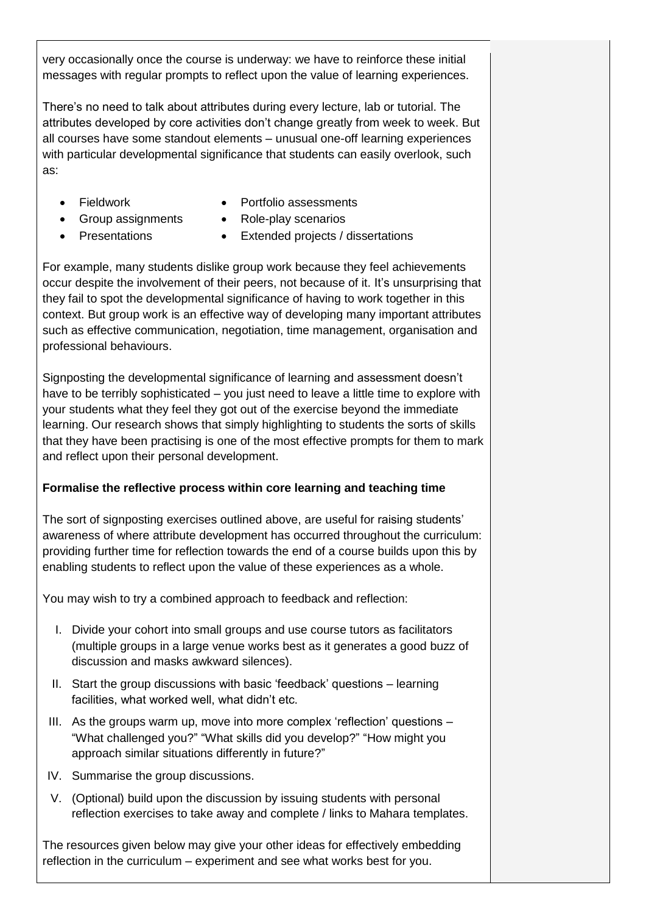very occasionally once the course is underway: we have to reinforce these initial messages with regular prompts to reflect upon the value of learning experiences.

There's no need to talk about attributes during every lecture, lab or tutorial. The attributes developed by core activities don't change greatly from week to week. But all courses have some standout elements – unusual one-off learning experiences with particular developmental significance that students can easily overlook, such as:

- **•** Fieldwork
- Group assignments
- Portfolio assessments
- Role-play scenarios
- Presentations
- Extended projects / dissertations

For example, many students dislike group work because they feel achievements occur despite the involvement of their peers, not because of it. It's unsurprising that they fail to spot the developmental significance of having to work together in this context. But group work is an effective way of developing many important attributes such as effective communication, negotiation, time management, organisation and professional behaviours.

Signposting the developmental significance of learning and assessment doesn't have to be terribly sophisticated – you just need to leave a little time to explore with your students what they feel they got out of the exercise beyond the immediate learning. Our research shows that simply highlighting to students the sorts of skills that they have been practising is one of the most effective prompts for them to mark and reflect upon their personal development.

## <span id="page-1-0"></span>**Formalise the reflective process within core learning and teaching time**

The sort of signposting exercises outlined above, are useful for raising students' awareness of where attribute development has occurred throughout the curriculum: providing further time for reflection towards the end of a course builds upon this by enabling students to reflect upon the value of these experiences as a whole.

You may wish to try a combined approach to feedback and reflection:

- I. Divide your cohort into small groups and use course tutors as facilitators (multiple groups in a large venue works best as it generates a good buzz of discussion and masks awkward silences).
- II. Start the group discussions with basic 'feedback' questions learning facilities, what worked well, what didn't etc.
- III. As the groups warm up, move into more complex 'reflection' questions "What challenged you?" "What skills did you develop?" "How might you approach similar situations differently in future?"
- IV. Summarise the group discussions.
- V. (Optional) build upon the discussion by issuing students with personal reflection exercises to take away and complete / links to Mahara templates.

The resources given below may give your other ideas for effectively embedding reflection in the curriculum – experiment and see what works best for you.